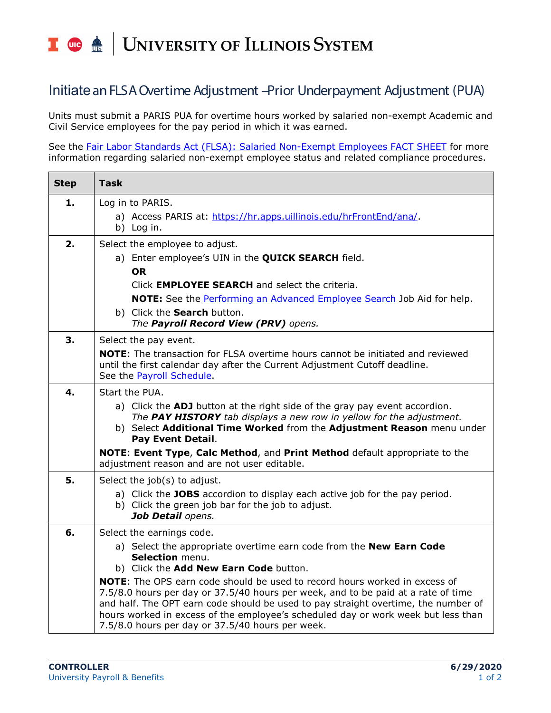## T die <u>dis</u> UNIVERSITY OF ILLINOIS SYSTEM

## Initiatean FLSA Overtime Adjustment –Prior Underpayment Adjustment (PUA)

Units must submit a PARIS PUA for overtime hours worked by salaried non-exempt Academic and Civil Service employees for the pay period in which it was earned.

See the [Fair Labor Standards Act \(FLSA\): Salaried Non-Exempt Employees FACT SHEET](https://www.google.com/url?client=internal-element-cse&cx=017077135089854586136:czftrozufgs&q=https://www.hr.uillinois.edu/userfiles/Servers/Server_4208/file/12_23_19%2520FLSA%2520FAQs%25202019(2).doc&sa=U&ved=2ahUKEwjDqaHwitnnAhUnknIEHa7KA_EQFjACegQICBAB&usg=AOvVaw0WCR5d5sskJi0YRleY_ER8) for more information regarding salaried non-exempt employee status and related compliance procedures.

| <b>Step</b> | <b>Task</b>                                                                                                                                                                                                                                                  |
|-------------|--------------------------------------------------------------------------------------------------------------------------------------------------------------------------------------------------------------------------------------------------------------|
| 1.          | Log in to PARIS.                                                                                                                                                                                                                                             |
|             | a) Access PARIS at: https://hr.apps.uillinois.edu/hrFrontEnd/ana/.<br>b) Log in.                                                                                                                                                                             |
| 2.          | Select the employee to adjust.                                                                                                                                                                                                                               |
|             | a) Enter employee's UIN in the <b>QUICK SEARCH</b> field.                                                                                                                                                                                                    |
|             | <b>OR</b>                                                                                                                                                                                                                                                    |
|             | Click <b>EMPLOYEE SEARCH</b> and select the criteria.                                                                                                                                                                                                        |
|             | <b>NOTE:</b> See the Performing an Advanced Employee Search Job Aid for help.<br>b) Click the Search button.                                                                                                                                                 |
|             | The Payroll Record View (PRV) opens.                                                                                                                                                                                                                         |
| 3.          | Select the pay event.                                                                                                                                                                                                                                        |
|             | <b>NOTE:</b> The transaction for FLSA overtime hours cannot be initiated and reviewed<br>until the first calendar day after the Current Adjustment Cutoff deadline.<br>See the Payroll Schedule.                                                             |
| 4.          | Start the PUA.                                                                                                                                                                                                                                               |
|             | a) Click the ADJ button at the right side of the gray pay event accordion.<br>The PAY HISTORY tab displays a new row in yellow for the adjustment.<br>b) Select Additional Time Worked from the Adjustment Reason menu under<br><b>Pay Event Detail.</b>     |
|             | NOTE: Event Type, Calc Method, and Print Method default appropriate to the<br>adjustment reason and are not user editable.                                                                                                                                   |
| 5.          | Select the job(s) to adjust.                                                                                                                                                                                                                                 |
|             | a) Click the JOBS accordion to display each active job for the pay period.<br>b) Click the green job bar for the job to adjust.<br>Job Detail opens.                                                                                                         |
| 6.          | Select the earnings code.                                                                                                                                                                                                                                    |
|             | a) Select the appropriate overtime earn code from the New Earn Code                                                                                                                                                                                          |
|             | Selection menu.<br>b) Click the Add New Earn Code button.                                                                                                                                                                                                    |
|             | <b>NOTE:</b> The OPS earn code should be used to record hours worked in excess of                                                                                                                                                                            |
|             | 7.5/8.0 hours per day or 37.5/40 hours per week, and to be paid at a rate of time<br>and half. The OPT earn code should be used to pay straight overtime, the number of<br>hours worked in excess of the employee's scheduled day or work week but less than |
|             | 7.5/8.0 hours per day or 37.5/40 hours per week.                                                                                                                                                                                                             |